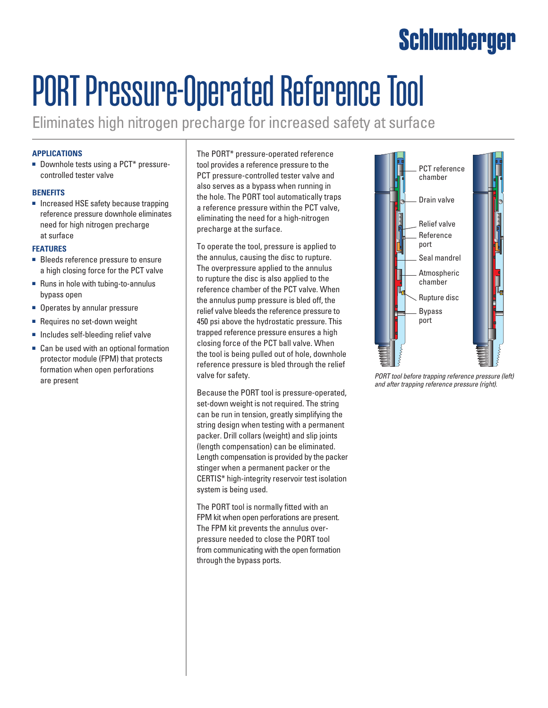## Schlumberger

# PORT Pressure-Operated Reference Tool

Eliminates high nitrogen precharge for increased safety at surface

### **Applications**

■ Downhole tests using a PCT<sup>\*</sup> pressurecontrolled tester valve

#### **Benefits**

■ Increased HSE safety because trapping reference pressure downhole eliminates need for high nitrogen precharge at surface

#### **Features**

- Bleeds reference pressure to ensure a high closing force for the PCT valve
- Runs in hole with tubing-to-annulus bypass open
- Operates by annular pressure
- Requires no set-down weight
- Includes self-bleeding relief valve
- Can be used with an optional formation protector module (FPM) that protects formation when open perforations are present

The PORT\* pressure-operated reference tool provides a reference pressure to the PCT pressure-controlled tester valve and also serves as a bypass when running in the hole. The PORT tool automatically traps a reference pressure within the PCT valve, eliminating the need for a high-nitrogen precharge at the surface.

To operate the tool, pressure is applied to the annulus, causing the disc to rupture. The overpressure applied to the annulus to rupture the disc is also applied to the reference chamber of the PCT valve. When the annulus pump pressure is bled off, the relief valve bleeds the reference pressure to 450 psi above the hydrostatic pressure. This trapped reference pressure ensures a high closing force of the PCT ball valve. When the tool is being pulled out of hole, downhole reference pressure is bled through the relief valve for safety.

Because the PORT tool is pressure-operated, set-down weight is not required. The string can be run in tension, greatly simplifying the string design when testing with a permanent packer. Drill collars (weight) and slip joints (length compensation) can be eliminated. Length compensation is provided by the packer stinger when a permanent packer or the CERTIS\* high-integrity reservoir test isolation system is being used.

The PORT tool is normally fitted with an FPM kit when open perforations are present. The FPM kit prevents the annulus overpressure needed to close the PORT tool from communicating with the open formation through the bypass ports.